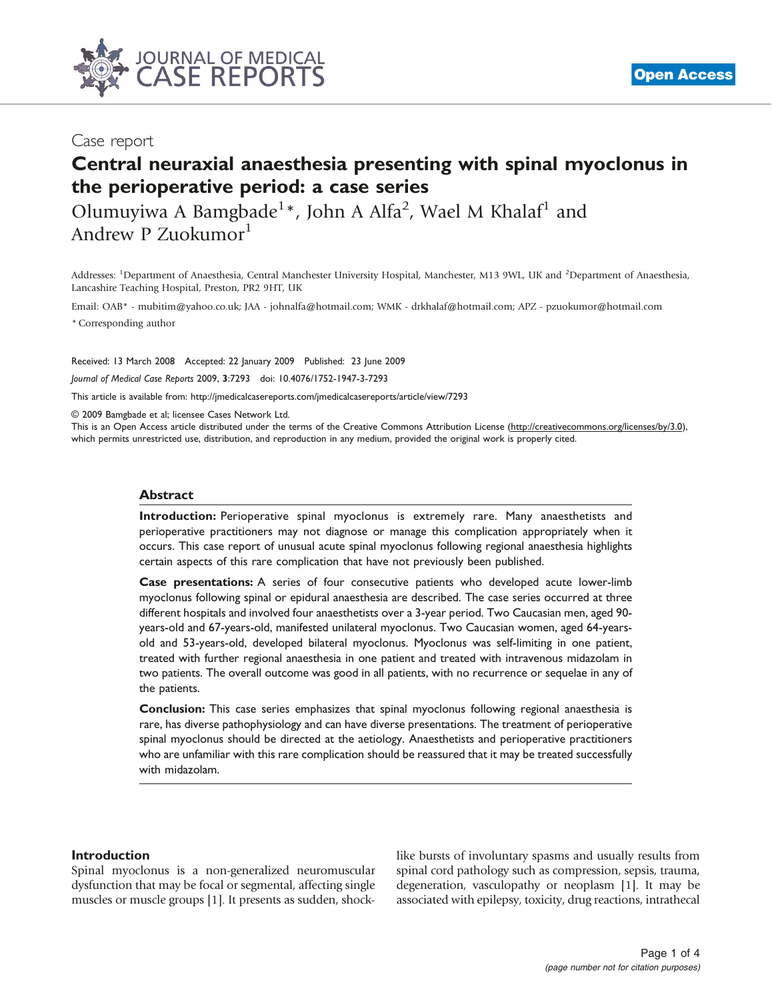

# Case report

# Central neuraxial anaesthesia presenting with spinal myoclonus in the perioperative period: a case series

Olumuyiwa A Bamgbade<sup>1</sup>\*, John A Alfa<sup>2</sup>, Wael M Khalaf<sup>1</sup> and Andrew P Zuokumor<sup>1</sup>

Addresses: <sup>1</sup>Department of Anaesthesia, Central Manchester University Hospital, Manchester, M13 9WL, UK and <sup>2</sup>Department of Anaesthesia, Lancashire Teaching Hospital, Preston, PR2 9HT, UK

Email: OAB\* - mubitim@yahoo.co.uk; JAA - johnalfa@hotmail.com; WMK - drkhalaf@hotmail.com; APZ - pzuokumor@hotmail.com \* Corresponding author

Received: 13 March 2008 Accepted: 22 January 2009 Published: 23 June 2009

Journal of Medical Case Reports 2009, 3:7293 doi: 10.4076/1752-1947-3-7293

This article is available from:<http://jmedicalcasereports.com/jmedicalcasereports/article/view/7293>

© 2009 Bamgbade et al; licensee Cases Network Ltd.

This is an Open Access article distributed under the terms of the Creative Commons Attribution License [\(http://creativecommons.org/licenses/by/3.0\)](http://creativecommons.org/licenses/by/3.0), which permits unrestricted use, distribution, and reproduction in any medium, provided the original work is properly cited.

## Abstract

Introduction: Perioperative spinal myoclonus is extremely rare. Many anaesthetists and perioperative practitioners may not diagnose or manage this complication appropriately when it occurs. This case report of unusual acute spinal myoclonus following regional anaesthesia highlights certain aspects of this rare complication that have not previously been published.

Case presentations: A series of four consecutive patients who developed acute lower-limb myoclonus following spinal or epidural anaesthesia are described. The case series occurred at three different hospitals and involved four anaesthetists over a 3-year period. Two Caucasian men, aged 90 years-old and 67-years-old, manifested unilateral myoclonus. Two Caucasian women, aged 64-yearsold and 53-years-old, developed bilateral myoclonus. Myoclonus was self-limiting in one patient, treated with further regional anaesthesia in one patient and treated with intravenous midazolam in two patients. The overall outcome was good in all patients, with no recurrence or sequelae in any of the patients.

Conclusion: This case series emphasizes that spinal myoclonus following regional anaesthesia is rare, has diverse pathophysiology and can have diverse presentations. The treatment of perioperative spinal myoclonus should be directed at the aetiology. Anaesthetists and perioperative practitioners who are unfamiliar with this rare complication should be reassured that it may be treated successfully with midazolam.

## Introduction

Spinal myoclonus is a non-generalized neuromuscular dysfunction that may be focal or segmental, affecting single muscles or muscle groups [[1](#page-3-0)]. It presents as sudden, shocklike bursts of involuntary spasms and usually results from spinal cord pathology such as compression, sepsis, trauma, degeneration, vasculopathy or neoplasm [\[1](#page-3-0)]. It may be associated with epilepsy, toxicity, drug reactions, intrathecal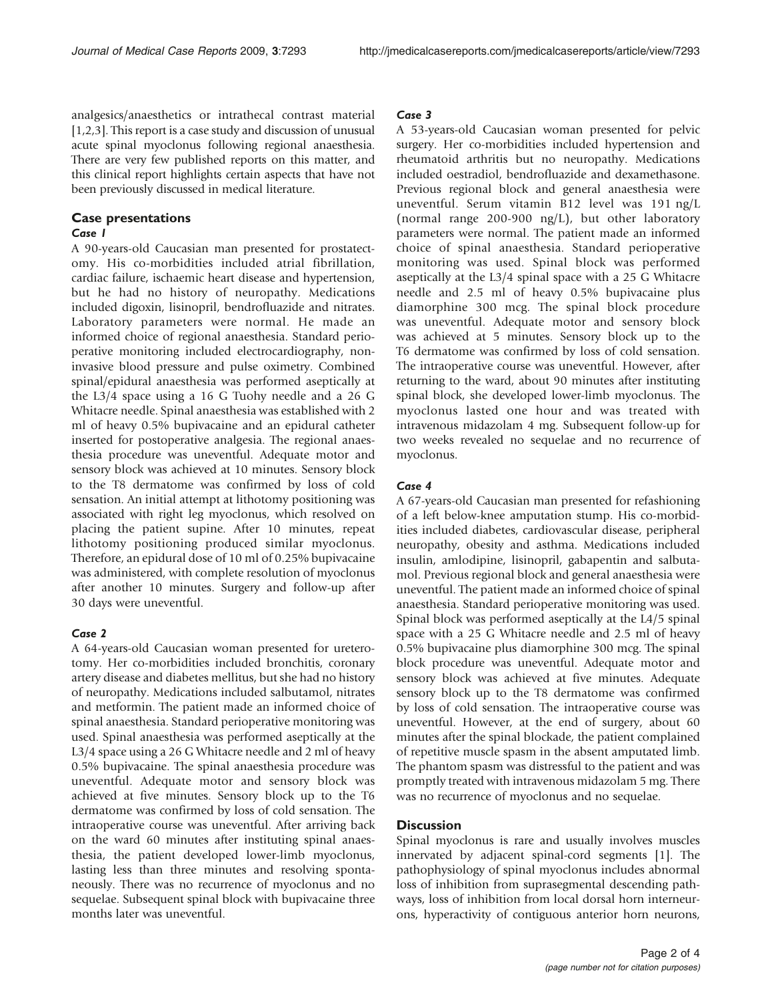analgesics/anaesthetics or intrathecal contrast material [\[1](#page-3-0),[2,3](#page-3-0)]. This report is a case study and discussion of unusual acute spinal myoclonus following regional anaesthesia. There are very few published reports on this matter, and this clinical report highlights certain aspects that have not been previously discussed in medical literature.

# Case presentations

## Case 1

A 90-years-old Caucasian man presented for prostatectomy. His co-morbidities included atrial fibrillation, cardiac failure, ischaemic heart disease and hypertension, but he had no history of neuropathy. Medications included digoxin, lisinopril, bendrofluazide and nitrates. Laboratory parameters were normal. He made an informed choice of regional anaesthesia. Standard perioperative monitoring included electrocardiography, noninvasive blood pressure and pulse oximetry. Combined spinal/epidural anaesthesia was performed aseptically at the L3/4 space using a 16 G Tuohy needle and a 26 G Whitacre needle. Spinal anaesthesia was established with 2 ml of heavy 0.5% bupivacaine and an epidural catheter inserted for postoperative analgesia. The regional anaesthesia procedure was uneventful. Adequate motor and sensory block was achieved at 10 minutes. Sensory block to the T8 dermatome was confirmed by loss of cold sensation. An initial attempt at lithotomy positioning was associated with right leg myoclonus, which resolved on placing the patient supine. After 10 minutes, repeat lithotomy positioning produced similar myoclonus. Therefore, an epidural dose of 10 ml of 0.25% bupivacaine was administered, with complete resolution of myoclonus after another 10 minutes. Surgery and follow-up after 30 days were uneventful.

## Case 2

A 64-years-old Caucasian woman presented for ureterotomy. Her co-morbidities included bronchitis, coronary artery disease and diabetes mellitus, but she had no history of neuropathy. Medications included salbutamol, nitrates and metformin. The patient made an informed choice of spinal anaesthesia. Standard perioperative monitoring was used. Spinal anaesthesia was performed aseptically at the L3/4 space using a 26 G Whitacre needle and 2 ml of heavy 0.5% bupivacaine. The spinal anaesthesia procedure was uneventful. Adequate motor and sensory block was achieved at five minutes. Sensory block up to the T6 dermatome was confirmed by loss of cold sensation. The intraoperative course was uneventful. After arriving back on the ward 60 minutes after instituting spinal anaesthesia, the patient developed lower-limb myoclonus, lasting less than three minutes and resolving spontaneously. There was no recurrence of myoclonus and no sequelae. Subsequent spinal block with bupivacaine three months later was uneventful.

## Case 3

A 53-years-old Caucasian woman presented for pelvic surgery. Her co-morbidities included hypertension and rheumatoid arthritis but no neuropathy. Medications included oestradiol, bendrofluazide and dexamethasone. Previous regional block and general anaesthesia were uneventful. Serum vitamin B12 level was 191 ng/L (normal range 200-900 ng/L), but other laboratory parameters were normal. The patient made an informed choice of spinal anaesthesia. Standard perioperative monitoring was used. Spinal block was performed aseptically at the L3/4 spinal space with a 25 G Whitacre needle and 2.5 ml of heavy 0.5% bupivacaine plus diamorphine 300 mcg. The spinal block procedure was uneventful. Adequate motor and sensory block was achieved at 5 minutes. Sensory block up to the T6 dermatome was confirmed by loss of cold sensation. The intraoperative course was uneventful. However, after returning to the ward, about 90 minutes after instituting spinal block, she developed lower-limb myoclonus. The myoclonus lasted one hour and was treated with intravenous midazolam 4 mg. Subsequent follow-up for two weeks revealed no sequelae and no recurrence of myoclonus.

## Case 4

A 67-years-old Caucasian man presented for refashioning of a left below-knee amputation stump. His co-morbidities included diabetes, cardiovascular disease, peripheral neuropathy, obesity and asthma. Medications included insulin, amlodipine, lisinopril, gabapentin and salbutamol. Previous regional block and general anaesthesia were uneventful. The patient made an informed choice of spinal anaesthesia. Standard perioperative monitoring was used. Spinal block was performed aseptically at the L4/5 spinal space with a 25 G Whitacre needle and 2.5 ml of heavy 0.5% bupivacaine plus diamorphine 300 mcg. The spinal block procedure was uneventful. Adequate motor and sensory block was achieved at five minutes. Adequate sensory block up to the T8 dermatome was confirmed by loss of cold sensation. The intraoperative course was uneventful. However, at the end of surgery, about 60 minutes after the spinal blockade, the patient complained of repetitive muscle spasm in the absent amputated limb. The phantom spasm was distressful to the patient and was promptly treated with intravenous midazolam 5 mg. There was no recurrence of myoclonus and no sequelae.

## **Discussion**

Spinal myoclonus is rare and usually involves muscles innervated by adjacent spinal-cord segments [\[1](#page-3-0)]. The pathophysiology of spinal myoclonus includes abnormal loss of inhibition from suprasegmental descending pathways, loss of inhibition from local dorsal horn interneurons, hyperactivity of contiguous anterior horn neurons,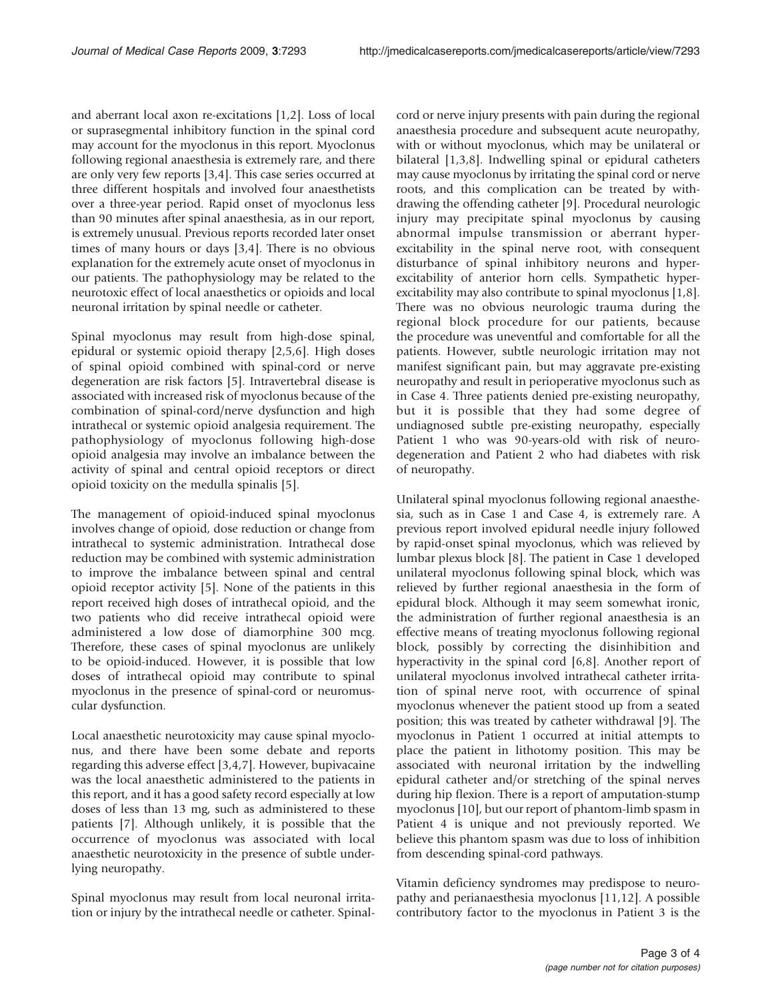and aberrant local axon re-excitations [\[1,2\]](#page-3-0). Loss of local or suprasegmental inhibitory function in the spinal cord may account for the myoclonus in this report. Myoclonus following regional anaesthesia is extremely rare, and there are only very few reports [\[3](#page-3-0),[4](#page-3-0)]. This case series occurred at three different hospitals and involved four anaesthetists over a three-year period. Rapid onset of myoclonus less than 90 minutes after spinal anaesthesia, as in our report, is extremely unusual. Previous reports recorded later onset times of many hours or days [\[3](#page-3-0),[4](#page-3-0)]. There is no obvious explanation for the extremely acute onset of myoclonus in our patients. The pathophysiology may be related to the neurotoxic effect of local anaesthetics or opioids and local neuronal irritation by spinal needle or catheter.

Spinal myoclonus may result from high-dose spinal, epidural or systemic opioid therapy [[2](#page-3-0),[5,6\]](#page-3-0). High doses of spinal opioid combined with spinal-cord or nerve degeneration are risk factors [[5\]](#page-3-0). Intravertebral disease is associated with increased risk of myoclonus because of the combination of spinal-cord/nerve dysfunction and high intrathecal or systemic opioid analgesia requirement. The pathophysiology of myoclonus following high-dose opioid analgesia may involve an imbalance between the activity of spinal and central opioid receptors or direct opioid toxicity on the medulla spinalis [[5\]](#page-3-0).

The management of opioid-induced spinal myoclonus involves change of opioid, dose reduction or change from intrathecal to systemic administration. Intrathecal dose reduction may be combined with systemic administration to improve the imbalance between spinal and central opioid receptor activity [[5\]](#page-3-0). None of the patients in this report received high doses of intrathecal opioid, and the two patients who did receive intrathecal opioid were administered a low dose of diamorphine 300 mcg. Therefore, these cases of spinal myoclonus are unlikely to be opioid-induced. However, it is possible that low doses of intrathecal opioid may contribute to spinal myoclonus in the presence of spinal-cord or neuromuscular dysfunction.

Local anaesthetic neurotoxicity may cause spinal myoclonus, and there have been some debate and reports regarding this adverse effect [\[3,4](#page-3-0),[7](#page-3-0)]. However, bupivacaine was the local anaesthetic administered to the patients in this report, and it has a good safety record especially at low doses of less than 13 mg, such as administered to these patients [\[7\]](#page-3-0). Although unlikely, it is possible that the occurrence of myoclonus was associated with local anaesthetic neurotoxicity in the presence of subtle underlying neuropathy.

Spinal myoclonus may result from local neuronal irritation or injury by the intrathecal needle or catheter. Spinalcord or nerve injury presents with pain during the regional anaesthesia procedure and subsequent acute neuropathy, with or without myoclonus, which may be unilateral or bilateral [[1,3,8\]](#page-3-0). Indwelling spinal or epidural catheters may cause myoclonus by irritating the spinal cord or nerve roots, and this complication can be treated by withdrawing the offending catheter [\[9\]](#page-3-0). Procedural neurologic injury may precipitate spinal myoclonus by causing abnormal impulse transmission or aberrant hyperexcitability in the spinal nerve root, with consequent disturbance of spinal inhibitory neurons and hyperexcitability of anterior horn cells. Sympathetic hyperexcitability may also contribute to spinal myoclonus [[1,8\]](#page-3-0). There was no obvious neurologic trauma during the regional block procedure for our patients, because the procedure was uneventful and comfortable for all the patients. However, subtle neurologic irritation may not manifest significant pain, but may aggravate pre-existing neuropathy and result in perioperative myoclonus such as in Case 4. Three patients denied pre-existing neuropathy, but it is possible that they had some degree of undiagnosed subtle pre-existing neuropathy, especially Patient 1 who was 90-years-old with risk of neurodegeneration and Patient 2 who had diabetes with risk of neuropathy.

Unilateral spinal myoclonus following regional anaesthesia, such as in Case 1 and Case 4, is extremely rare. A previous report involved epidural needle injury followed by rapid-onset spinal myoclonus, which was relieved by lumbar plexus block [[8\]](#page-3-0). The patient in Case 1 developed unilateral myoclonus following spinal block, which was relieved by further regional anaesthesia in the form of epidural block. Although it may seem somewhat ironic, the administration of further regional anaesthesia is an effective means of treating myoclonus following regional block, possibly by correcting the disinhibition and hyperactivity in the spinal cord [[6](#page-3-0),[8](#page-3-0)]. Another report of unilateral myoclonus involved intrathecal catheter irritation of spinal nerve root, with occurrence of spinal myoclonus whenever the patient stood up from a seated position; this was treated by catheter withdrawal [\[9](#page-3-0)]. The myoclonus in Patient 1 occurred at initial attempts to place the patient in lithotomy position. This may be associated with neuronal irritation by the indwelling epidural catheter and/or stretching of the spinal nerves during hip flexion. There is a report of amputation-stump myoclonus [\[10\]](#page-3-0), but our report of phantom-limb spasm in Patient 4 is unique and not previously reported. We believe this phantom spasm was due to loss of inhibition from descending spinal-cord pathways.

Vitamin deficiency syndromes may predispose to neuropathy and perianaesthesia myoclonus [[11](#page-3-0),[12](#page-3-0)]. A possible contributory factor to the myoclonus in Patient 3 is the